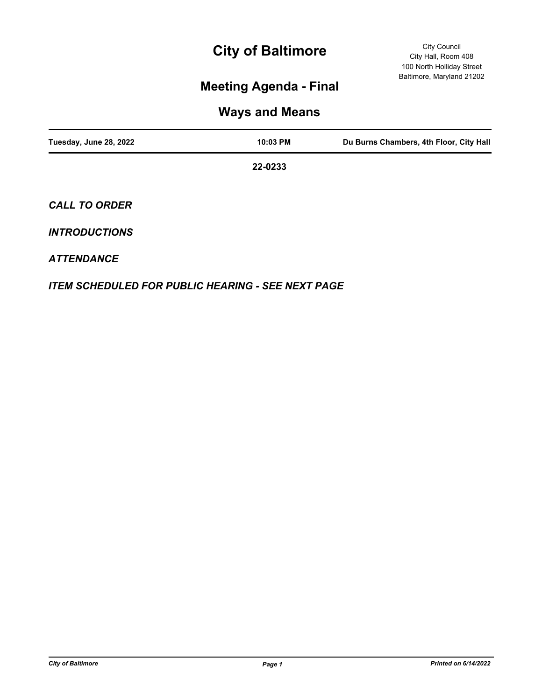# **City of Baltimore**

## **Meeting Agenda - Final**

### **Ways and Means**

| Tuesday, June 28, 2022 | 10:03 PM | Du Burns Chambers, 4th Floor, City Hall |
|------------------------|----------|-----------------------------------------|
|                        | 22-0233  |                                         |
| <b>CALL TO ORDER</b>   |          |                                         |

#### *INTRODUCTIONS*

### *ATTENDANCE*

*ITEM SCHEDULED FOR PUBLIC HEARING - SEE NEXT PAGE*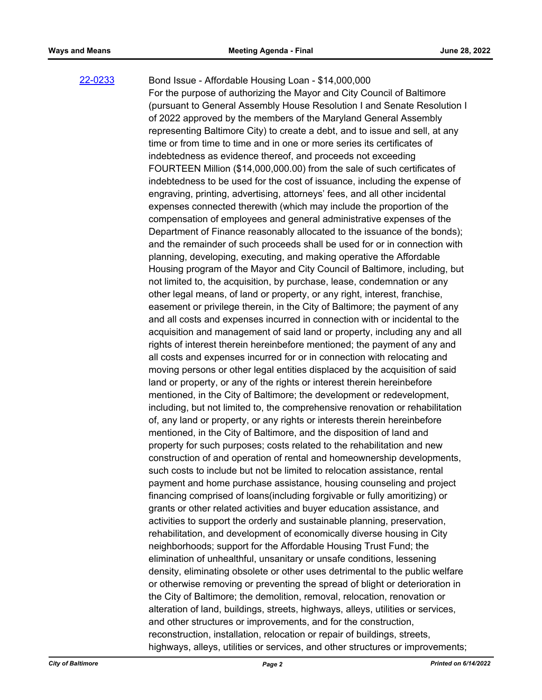#### [22-0233](http://baltimore.legistar.com/gateway.aspx?m=l&id=/matter.aspx?key=9122)

Bond Issue - Affordable Housing Loan - \$14,000,000 For the purpose of authorizing the Mayor and City Council of Baltimore (pursuant to General Assembly House Resolution I and Senate Resolution I of 2022 approved by the members of the Maryland General Assembly representing Baltimore City) to create a debt, and to issue and sell, at any time or from time to time and in one or more series its certificates of indebtedness as evidence thereof, and proceeds not exceeding FOURTEEN Million (\$14,000,000.00) from the sale of such certificates of indebtedness to be used for the cost of issuance, including the expense of engraving, printing, advertising, attorneys' fees, and all other incidental expenses connected therewith (which may include the proportion of the compensation of employees and general administrative expenses of the Department of Finance reasonably allocated to the issuance of the bonds); and the remainder of such proceeds shall be used for or in connection with planning, developing, executing, and making operative the Affordable Housing program of the Mayor and City Council of Baltimore, including, but not limited to, the acquisition, by purchase, lease, condemnation or any other legal means, of land or property, or any right, interest, franchise, easement or privilege therein, in the City of Baltimore; the payment of any and all costs and expenses incurred in connection with or incidental to the acquisition and management of said land or property, including any and all rights of interest therein hereinbefore mentioned; the payment of any and all costs and expenses incurred for or in connection with relocating and moving persons or other legal entities displaced by the acquisition of said land or property, or any of the rights or interest therein hereinbefore mentioned, in the City of Baltimore; the development or redevelopment, including, but not limited to, the comprehensive renovation or rehabilitation of, any land or property, or any rights or interests therein hereinbefore mentioned, in the City of Baltimore, and the disposition of land and property for such purposes; costs related to the rehabilitation and new construction of and operation of rental and homeownership developments, such costs to include but not be limited to relocation assistance, rental payment and home purchase assistance, housing counseling and project financing comprised of loans(including forgivable or fully amoritizing) or grants or other related activities and buyer education assistance, and activities to support the orderly and sustainable planning, preservation, rehabilitation, and development of economically diverse housing in City neighborhoods; support for the Affordable Housing Trust Fund; the elimination of unhealthful, unsanitary or unsafe conditions, lessening density, eliminating obsolete or other uses detrimental to the public welfare or otherwise removing or preventing the spread of blight or deterioration in the City of Baltimore; the demolition, removal, relocation, renovation or alteration of land, buildings, streets, highways, alleys, utilities or services, and other structures or improvements, and for the construction, reconstruction, installation, relocation or repair of buildings, streets, highways, alleys, utilities or services, and other structures or improvements;